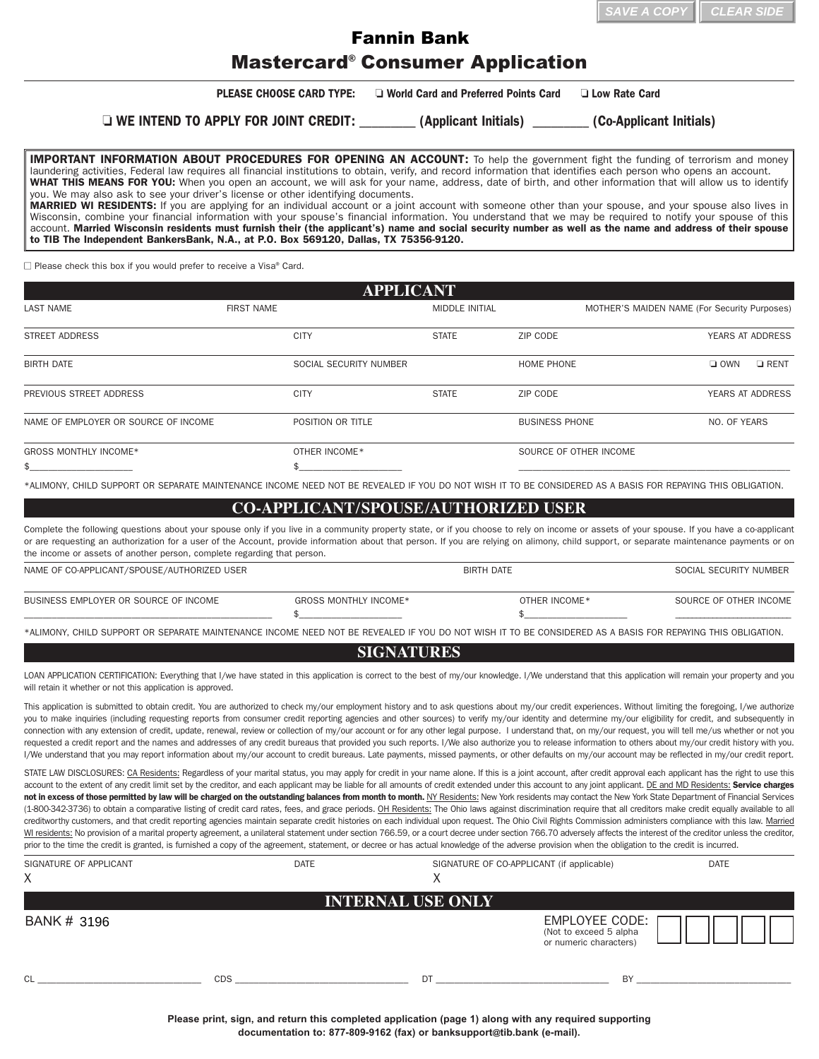| $\parallel$ SAVE A COPY $\parallel$ CLEAR SIDE |  |
|------------------------------------------------|--|
|                                                |  |

## Mastercard® Consumer Application Fannin Bank

|                                                                                                                                                                                                                                                                                                                                                                                                                                                                                                                                                                                                                                                                                                                                                                                                                                                                                                                                                                                                                                                                                                                                                                                                                                                                                                                                                                                                                                                                                                                         |                                                                                                        |                                        |                                           | SAVE A COPY                                  |                        | <b>CLEAR SIDE</b> |
|-------------------------------------------------------------------------------------------------------------------------------------------------------------------------------------------------------------------------------------------------------------------------------------------------------------------------------------------------------------------------------------------------------------------------------------------------------------------------------------------------------------------------------------------------------------------------------------------------------------------------------------------------------------------------------------------------------------------------------------------------------------------------------------------------------------------------------------------------------------------------------------------------------------------------------------------------------------------------------------------------------------------------------------------------------------------------------------------------------------------------------------------------------------------------------------------------------------------------------------------------------------------------------------------------------------------------------------------------------------------------------------------------------------------------------------------------------------------------------------------------------------------------|--------------------------------------------------------------------------------------------------------|----------------------------------------|-------------------------------------------|----------------------------------------------|------------------------|-------------------|
|                                                                                                                                                                                                                                                                                                                                                                                                                                                                                                                                                                                                                                                                                                                                                                                                                                                                                                                                                                                                                                                                                                                                                                                                                                                                                                                                                                                                                                                                                                                         | <b>Fannin Bank</b>                                                                                     |                                        |                                           |                                              |                        |                   |
|                                                                                                                                                                                                                                                                                                                                                                                                                                                                                                                                                                                                                                                                                                                                                                                                                                                                                                                                                                                                                                                                                                                                                                                                                                                                                                                                                                                                                                                                                                                         | <b>Mastercard<sup>®</sup> Consumer Application</b>                                                     |                                        |                                           |                                              |                        |                   |
|                                                                                                                                                                                                                                                                                                                                                                                                                                                                                                                                                                                                                                                                                                                                                                                                                                                                                                                                                                                                                                                                                                                                                                                                                                                                                                                                                                                                                                                                                                                         | <b>PLEASE CHOOSE CARD TYPE:</b>                                                                        | □ World Card and Preferred Points Card |                                           | <b>Low Rate Card</b>                         |                        |                   |
|                                                                                                                                                                                                                                                                                                                                                                                                                                                                                                                                                                                                                                                                                                                                                                                                                                                                                                                                                                                                                                                                                                                                                                                                                                                                                                                                                                                                                                                                                                                         | □ WE INTEND TO APPLY FOR JOINT CREDIT: _________ (Applicant Initials) ________ (Co-Applicant Initials) |                                        |                                           |                                              |                        |                   |
| <b>IMPORTANT INFORMATION ABOUT PROCEDURES FOR OPENING AN ACCOUNT:</b> To help the government fight the funding of terrorism and money<br>laundering activities, Federal law requires all financial institutions to obtain, verify, and record information that identifies each person who opens an account.<br>WHAT THIS MEANS FOR YOU: When you open an account, we will ask for your name, address, date of birth, and other information that will allow us to identify<br>you. We may also ask to see your driver's license or other identifying documents.<br>MARRIED WI RESIDENTS: If you are applying for an individual account or a joint account with someone other than your spouse, and your spouse also lives in<br>Wisconsin, combine your financial information with your spouse's financial information. You understand that we may be required to notify your spouse of this<br>account. Married Wisconsin residents must furnish their (the applicant's) name and social security number as well as the name and address of their spouse<br>to TIB The Independent BankersBank, N.A., at P.O. Box 569120, Dallas, TX 75356-9120.                                                                                                                                                                                                                                                                                                                                                                        |                                                                                                        |                                        |                                           |                                              |                        |                   |
| $\Box$ Please check this box if you would prefer to receive a Visa® Card.                                                                                                                                                                                                                                                                                                                                                                                                                                                                                                                                                                                                                                                                                                                                                                                                                                                                                                                                                                                                                                                                                                                                                                                                                                                                                                                                                                                                                                               |                                                                                                        |                                        |                                           |                                              |                        |                   |
|                                                                                                                                                                                                                                                                                                                                                                                                                                                                                                                                                                                                                                                                                                                                                                                                                                                                                                                                                                                                                                                                                                                                                                                                                                                                                                                                                                                                                                                                                                                         | <b>APPLICANT</b>                                                                                       |                                        |                                           |                                              |                        |                   |
| <b>LAST NAME</b>                                                                                                                                                                                                                                                                                                                                                                                                                                                                                                                                                                                                                                                                                                                                                                                                                                                                                                                                                                                                                                                                                                                                                                                                                                                                                                                                                                                                                                                                                                        | <b>FIRST NAME</b>                                                                                      | <b>MIDDLE INITIAL</b>                  |                                           | MOTHER'S MAIDEN NAME (For Security Purposes) |                        |                   |
| <b>STREET ADDRESS</b>                                                                                                                                                                                                                                                                                                                                                                                                                                                                                                                                                                                                                                                                                                                                                                                                                                                                                                                                                                                                                                                                                                                                                                                                                                                                                                                                                                                                                                                                                                   | <b>CITY</b>                                                                                            | <b>STATE</b>                           | ZIP CODE                                  |                                              |                        | YEARS AT ADDRESS  |
| <b>BIRTH DATE</b>                                                                                                                                                                                                                                                                                                                                                                                                                                                                                                                                                                                                                                                                                                                                                                                                                                                                                                                                                                                                                                                                                                                                                                                                                                                                                                                                                                                                                                                                                                       | SOCIAL SECURITY NUMBER                                                                                 |                                        | HOME PHONE                                |                                              | $\Box$ OWN             | $\Box$ RENT       |
| PREVIOUS STREET ADDRESS                                                                                                                                                                                                                                                                                                                                                                                                                                                                                                                                                                                                                                                                                                                                                                                                                                                                                                                                                                                                                                                                                                                                                                                                                                                                                                                                                                                                                                                                                                 | <b>CITY</b>                                                                                            | <b>STATE</b>                           | ZIP CODE                                  |                                              |                        | YEARS AT ADDRESS  |
| NAME OF EMPLOYER OR SOURCE OF INCOME                                                                                                                                                                                                                                                                                                                                                                                                                                                                                                                                                                                                                                                                                                                                                                                                                                                                                                                                                                                                                                                                                                                                                                                                                                                                                                                                                                                                                                                                                    | POSITION OR TITLE                                                                                      |                                        | <b>BUSINESS PHONE</b>                     |                                              | NO. OF YEARS           |                   |
| GROSS MONTHLY INCOME*                                                                                                                                                                                                                                                                                                                                                                                                                                                                                                                                                                                                                                                                                                                                                                                                                                                                                                                                                                                                                                                                                                                                                                                                                                                                                                                                                                                                                                                                                                   | OTHER INCOME*                                                                                          |                                        | SOURCE OF OTHER INCOME                    |                                              |                        |                   |
| *ALIMONY, CHILD SUPPORT OR SEPARATE MAINTENANCE INCOME NEED NOT BE REVEALED IF YOU DO NOT WISH IT TO BE CONSIDERED AS A BASIS FOR REPAYING THIS OBLIGATION.<br>Complete the following questions about your spouse only if you live in a community property state, or if you choose to rely on income or assets of your spouse. If you have a co-applicant<br>or are requesting an authorization for a user of the Account, provide information about that person. If you are relying on alimony, child support, or separate maintenance payments or on<br>the income or assets of another person, complete regarding that person.                                                                                                                                                                                                                                                                                                                                                                                                                                                                                                                                                                                                                                                                                                                                                                                                                                                                                       | <b>CO-APPLICANT/SPOUSE/AUTHORIZED USER</b>                                                             |                                        |                                           |                                              |                        |                   |
| NAME OF CO-APPLICANT/SPOUSE/AUTHORIZED USER                                                                                                                                                                                                                                                                                                                                                                                                                                                                                                                                                                                                                                                                                                                                                                                                                                                                                                                                                                                                                                                                                                                                                                                                                                                                                                                                                                                                                                                                             |                                                                                                        | <b>BIRTH DATE</b>                      |                                           |                                              | SOCIAL SECURITY NUMBER |                   |
| BUSINESS EMPLOYER OR SOURCE OF INCOME                                                                                                                                                                                                                                                                                                                                                                                                                                                                                                                                                                                                                                                                                                                                                                                                                                                                                                                                                                                                                                                                                                                                                                                                                                                                                                                                                                                                                                                                                   | <b>GROSS MONTHLY INCOME*</b>                                                                           |                                        | OTHER INCOME*<br>\$                       |                                              | SOURCE OF OTHER INCOME |                   |
| *ALIMONY, CHILD SUPPORT OR SEPARATE MAINTENANCE INCOME NEED NOT BE REVEALED IF YOU DO NOT WISH IT TO BE CONSIDERED AS A BASIS FOR REPAYING THIS OBLIGATION.                                                                                                                                                                                                                                                                                                                                                                                                                                                                                                                                                                                                                                                                                                                                                                                                                                                                                                                                                                                                                                                                                                                                                                                                                                                                                                                                                             |                                                                                                        |                                        |                                           |                                              |                        |                   |
|                                                                                                                                                                                                                                                                                                                                                                                                                                                                                                                                                                                                                                                                                                                                                                                                                                                                                                                                                                                                                                                                                                                                                                                                                                                                                                                                                                                                                                                                                                                         | <b>SIGNATURES</b>                                                                                      |                                        |                                           |                                              |                        |                   |
| LOAN APPLICATION CERTIFICATION: Everything that I/we have stated in this application is correct to the best of my/our knowledge. I/We understand that this application will remain your property and you<br>will retain it whether or not this application is approved.                                                                                                                                                                                                                                                                                                                                                                                                                                                                                                                                                                                                                                                                                                                                                                                                                                                                                                                                                                                                                                                                                                                                                                                                                                                 |                                                                                                        |                                        |                                           |                                              |                        |                   |
| This application is submitted to obtain credit. You are authorized to check my/our employment history and to ask questions about my/our credit experiences. Without limiting the foregoing, I/we authorize<br>you to make inquiries (including requesting reports from consumer credit reporting agencies and other sources) to verify my/our identity and determine my/our eligibility for credit, and subsequently in<br>connection with any extension of credit, update, renewal, review or collection of my/our account or for any other legal purpose. I understand that, on my/our request, you will tell me/us whether or not you<br>requested a credit report and the names and addresses of any credit bureaus that provided you such reports. I/We also authorize you to release information to others about my/our credit history with you.<br>I/We understand that you may report information about my/our account to credit bureaus. Late payments, missed payments, or other defaults on my/our account may be reflected in my/our credit report.                                                                                                                                                                                                                                                                                                                                                                                                                                                         |                                                                                                        |                                        |                                           |                                              |                        |                   |
| STATE LAW DISCLOSURES: CA Residents: Regardless of your marital status, you may apply for credit in your name alone. If this is a joint account, after credit approval each applicant has the right to use this<br>account to the extent of any credit limit set by the creditor, and each applicant may be liable for all amounts of credit extended under this account to any joint applicant. DE and MD Residents: Service charges<br>not in excess of those permitted by law will be charged on the outstanding balances from month to month. NY Residents: New York residents may contact the New York State Department of Financial Services<br>(1-800-342-3736) to obtain a comparative listing of credit card rates, fees, and grace periods. OH Residents: The Ohio laws against discrimination require that all creditors make credit equally available to all<br>creditworthy customers, and that credit reporting agencies maintain separate credit histories on each individual upon request. The Ohio Civil Rights Commission administers compliance with this law. Married<br>WI residents: No provision of a marital property agreement, a unilateral statement under section 766.59, or a court decree under section 766.70 adversely affects the interest of the creditor unless the creditor,<br>prior to the time the credit is granted, is furnished a copy of the agreement, statement, or decree or has actual knowledge of the adverse provision when the obligation to the credit is incurred. |                                                                                                        |                                        |                                           |                                              |                        |                   |
| SIGNATURE OF APPLICANT<br>X                                                                                                                                                                                                                                                                                                                                                                                                                                                                                                                                                                                                                                                                                                                                                                                                                                                                                                                                                                                                                                                                                                                                                                                                                                                                                                                                                                                                                                                                                             | <b>DATE</b>                                                                                            | X                                      | SIGNATURE OF CO-APPLICANT (if applicable) |                                              | <b>DATE</b>            |                   |
|                                                                                                                                                                                                                                                                                                                                                                                                                                                                                                                                                                                                                                                                                                                                                                                                                                                                                                                                                                                                                                                                                                                                                                                                                                                                                                                                                                                                                                                                                                                         | <b>INTERNAL USE ONLY</b>                                                                               |                                        |                                           |                                              |                        |                   |
| BANK # 3196                                                                                                                                                                                                                                                                                                                                                                                                                                                                                                                                                                                                                                                                                                                                                                                                                                                                                                                                                                                                                                                                                                                                                                                                                                                                                                                                                                                                                                                                                                             |                                                                                                        |                                        |                                           | EMPLOYEE CODE: ITTI                          |                        |                   |

## **CO-APPLICANT/SPOUSE/AUTHORIZED USER**

| NAME OF CO-APPLICANT/SPOUSE/AUTHORIZED USER |                       | <b>BIRTH DATE</b> | SOCIAL SECURITY NUMBER |
|---------------------------------------------|-----------------------|-------------------|------------------------|
| BUSINESS EMPLOYER OR SOURCE OF INCOME       | GROSS MONTHLY INCOME* | OTHER INCOME *    | SOURCE OF OTHER INCOME |
|                                             |                       |                   |                        |

## **SIGNATURES**

| SIGNATURE OF APPLICANT<br>X | <b>DATE</b> | $\Lambda$                | SIGNATURE OF CO-APPLICANT (if applicable)                                  |  |
|-----------------------------|-------------|--------------------------|----------------------------------------------------------------------------|--|
|                             |             | <b>INTERNAL USE ONLY</b> |                                                                            |  |
| BANK # 3196                 |             |                          | <b>EMPLOYEE CODE:</b><br>(Not to exceed 5 alpha)<br>or numeric characters) |  |
| CL                          | <b>CDS</b>  | DT                       | BY                                                                         |  |

**Please print, sign, and return this completed application (page 1) along with any required supporting documentation to: 877-809-9162 (fax) or banksupport@tib.bank (e-mail).**